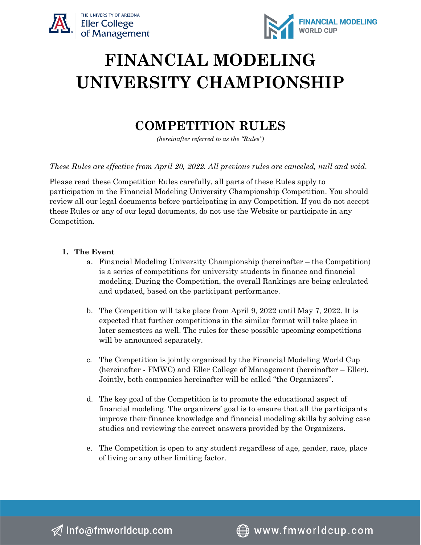



# **FINANCIAL MODELING UNIVERSITY CHAMPIONSHIP**

# **COMPETITION RULES**

*(hereinafter referred to as the "Rules")*

*These Rules are effective from April 20, 2022. All previous rules are canceled, null and void.*

Please read these Competition Rules carefully, all parts of these Rules apply to participation in the Financial Modeling University Championship Competition. You should review all our legal documents before participating in any Competition. If you do not accept these Rules or any of our legal documents, do not use the Website or participate in any Competition.

#### **1. The Event**

- a. Financial Modeling University Championship (hereinafter the Competition) is a series of competitions for university students in finance and financial modeling. During the Competition, the overall Rankings are being calculated and updated, based on the participant performance.
- b. The Competition will take place from April 9, 2022 until May 7, 2022. It is expected that further competitions in the similar format will take place in later semesters as well. The rules for these possible upcoming competitions will be announced separately.
- c. The Competition is jointly organized by the Financial Modeling World Cup (hereinafter - FMWC) and Eller College of Management (hereinafter – Eller). Jointly, both companies hereinafter will be called "the Organizers".
- d. The key goal of the Competition is to promote the educational aspect of financial modeling. The organizers' goal is to ensure that all the participants improve their finance knowledge and financial modeling skills by solving case studies and reviewing the correct answers provided by the Organizers.
- e. The Competition is open to any student regardless of age, gender, race, place of living or any other limiting factor.

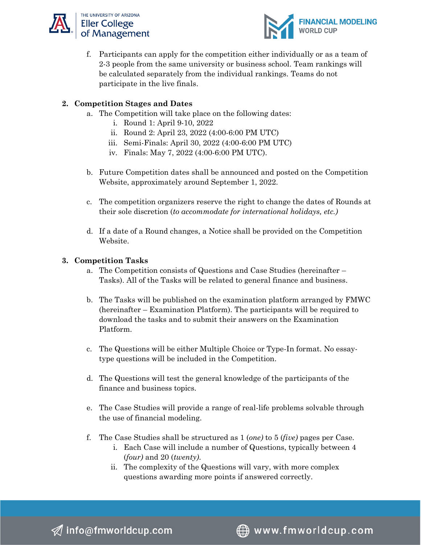



f. Participants can apply for the competition either individually or as a team of 2-3 people from the same university or business school. Team rankings will be calculated separately from the individual rankings. Teams do not participate in the live finals.

#### **2. Competition Stages and Dates**

- a. The Competition will take place on the following dates:
	- i. Round 1: April 9-10, 2022
	- ii. Round 2: April 23, 2022 (4:00-6:00 PM UTC)
	- iii. Semi-Finals: April 30, 2022 (4:00-6:00 PM UTC)
	- iv. Finals: May 7, 2022 (4:00-6:00 PM UTC).
- b. Future Competition dates shall be announced and posted on the Competition Website, approximately around September 1, 2022.
- c. The competition organizers reserve the right to change the dates of Rounds at their sole discretion (*to accommodate for international holidays, etc.)*
- d. If a date of a Round changes, a Notice shall be provided on the Competition Website.

#### **3. Competition Tasks**

- a. The Competition consists of Questions and Case Studies (hereinafter Tasks). All of the Tasks will be related to general finance and business.
- b. The Tasks will be published on the examination platform arranged by FMWC (hereinafter – Examination Platform). The participants will be required to download the tasks and to submit their answers on the Examination Platform.
- c. The Questions will be either Multiple Choice or Type-In format. No essaytype questions will be included in the Competition.
- d. The Questions will test the general knowledge of the participants of the finance and business topics.
- e. The Case Studies will provide a range of real-life problems solvable through the use of financial modeling.
- f. The Case Studies shall be structured as 1 (*one)* to 5 (*five)* pages per Case.
	- i. Each Case will include a number of Questions, typically between 4 (*four)* and 20 (*twenty)*.
	- ii. The complexity of the Questions will vary, with more complex questions awarding more points if answered correctly.

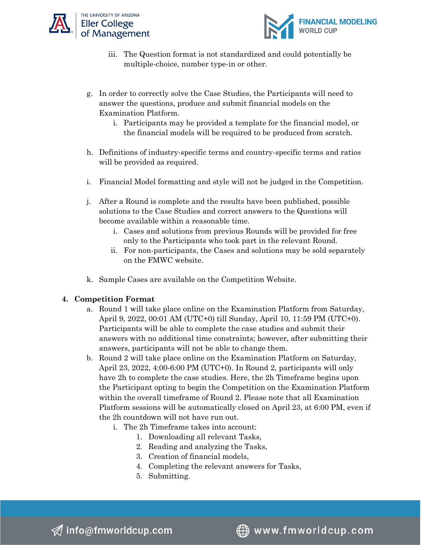



- iii. The Question format is not standardized and could potentially be multiple-choice, number type-in or other.
- g. In order to correctly solve the Case Studies, the Participants will need to answer the questions, produce and submit financial models on the Examination Platform.
	- i. Participants may be provided a template for the financial model, or the financial models will be required to be produced from scratch.
- h. Definitions of industry-specific terms and country-specific terms and ratios will be provided as required.
- i. Financial Model formatting and style will not be judged in the Competition.
- j. After a Round is complete and the results have been published, possible solutions to the Case Studies and correct answers to the Questions will become available within a reasonable time.
	- i. Cases and solutions from previous Rounds will be provided for free only to the Participants who took part in the relevant Round.
	- ii. For non-participants, the Cases and solutions may be sold separately on the FMWC website.
- k. Sample Cases are available on the Competition Website.

# **4. Competition Format**

- a. Round 1 will take place online on the Examination Platform from Saturday, April 9, 2022, 00:01 AM (UTC+0) till Sunday, April 10, 11:59 PM (UTC+0). Participants will be able to complete the case studies and submit their answers with no additional time constraints; however, after submitting their answers, participants will not be able to change them.
- b. Round 2 will take place online on the Examination Platform on Saturday, April 23, 2022, 4:00-6:00 PM (UTC+0). In Round 2, participants will only have 2h to complete the case studies. Here, the 2h Timeframe begins upon the Participant opting to begin the Competition on the Examination Platform within the overall timeframe of Round 2. Please note that all Examination Platform sessions will be automatically closed on April 23, at 6:00 PM, even if the 2h countdown will not have run out.
	- i. The 2h Timeframe takes into account:
		- 1. Downloading all relevant Tasks,
		- 2. Reading and analyzing the Tasks,
		- 3. Creation of financial models,
		- 4. Completing the relevant answers for Tasks,
		- 5. Submitting.

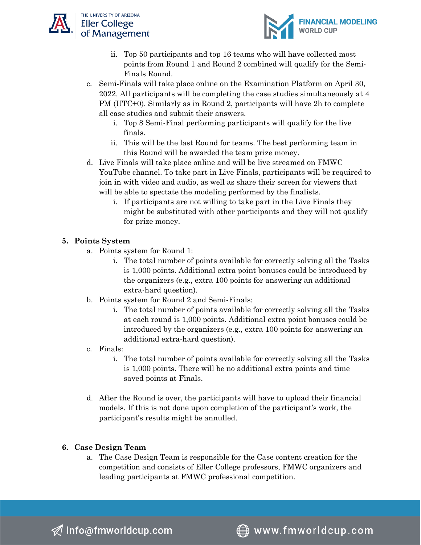



- ii. Top 50 participants and top 16 teams who will have collected most points from Round 1 and Round 2 combined will qualify for the Semi-Finals Round.
- c. Semi-Finals will take place online on the Examination Platform on April 30, 2022. All participants will be completing the case studies simultaneously at 4 PM (UTC+0). Similarly as in Round 2, participants will have 2h to complete all case studies and submit their answers.
	- i. Top 8 Semi-Final performing participants will qualify for the live finals.
	- ii. This will be the last Round for teams. The best performing team in this Round will be awarded the team prize money.
- d. Live Finals will take place online and will be live streamed on FMWC YouTube channel. To take part in Live Finals, participants will be required to join in with video and audio, as well as share their screen for viewers that will be able to spectate the modeling performed by the finalists.
	- i. If participants are not willing to take part in the Live Finals they might be substituted with other participants and they will not qualify for prize money.

# **5. Points System**

- a. Points system for Round 1:
	- i. The total number of points available for correctly solving all the Tasks is 1,000 points. Additional extra point bonuses could be introduced by the organizers (e.g., extra 100 points for answering an additional extra-hard question).
- b. Points system for Round 2 and Semi-Finals:
	- i. The total number of points available for correctly solving all the Tasks at each round is 1,000 points. Additional extra point bonuses could be introduced by the organizers (e.g., extra 100 points for answering an additional extra-hard question).
- c. Finals:
	- i. The total number of points available for correctly solving all the Tasks is 1,000 points. There will be no additional extra points and time saved points at Finals.
- d. After the Round is over, the participants will have to upload their financial models. If this is not done upon completion of the participant's work, the participant's results might be annulled.

# **6. Case Design Team**

a. The Case Design Team is responsible for the Case content creation for the competition and consists of Eller College professors, FMWC organizers and leading participants at FMWC professional competition.

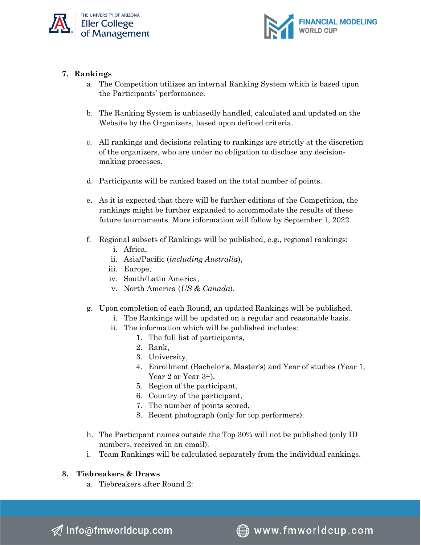



# **7. Rankings**

- a. The Competition utilizes an internal Ranking System which is based upon the Participants' performance.
- b. The Ranking System is unbiasedly handled, calculated and updated on the Website by the Organizers, based upon defined criteria.
- c. All rankings and decisions relating to rankings are strictly at the discretion of the organizers, who are under no obligation to disclose any decisionmaking processes.
- d. Participants will be ranked based on the total number of points.
- e. As it is expected that there will be further editions of the Competition, the rankings might be further expanded to accommodate the results of these future tournaments. More information will follow by September 1, 2022.
- f. Regional subsets of Rankings will be published, e.g., regional rankings:
	- i. Africa,
	- ii. Asia/Pacific (*including Australia*),
	- iii. Europe,
	- iv. South/Latin America,
	- v. North America (*US & Canada*).
- g. Upon completion of each Round, an updated Rankings will be published.
	- i. The Rankings will be updated on a regular and reasonable basis.
	- ii. The information which will be published includes:
		- 1. The full list of participants,
			- 2. Rank,
			- 3. University,
			- 4. Enrollment (Bachelor's, Master's) and Year of studies (Year 1, Year 2 or Year 3+),
			- 5. Region of the participant,
			- 6. Country of the participant,
			- 7. The number of points scored,
			- 8. Recent photograph (only for top performers).
- h. The Participant names outside the Top 30% will not be published (only ID numbers, received in an email).
- i. Team Rankings will be calculated separately from the individual rankings.

# **8. Tiebreakers & Draws**

a. Tiebreakers after Round 2:

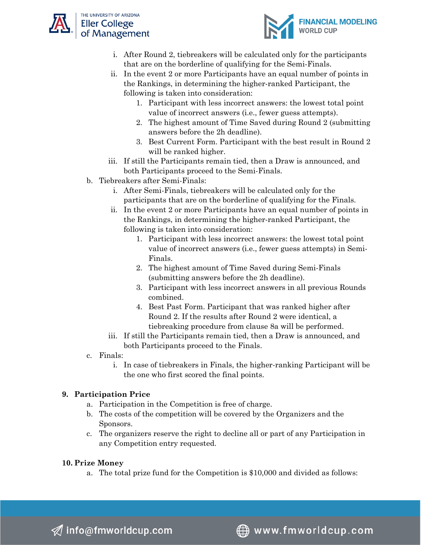



- i. After Round 2, tiebreakers will be calculated only for the participants that are on the borderline of qualifying for the Semi-Finals.
- ii. In the event 2 or more Participants have an equal number of points in the Rankings, in determining the higher-ranked Participant, the following is taken into consideration:
	- 1. Participant with less incorrect answers: the lowest total point value of incorrect answers (i.e., fewer guess attempts).
	- 2. The highest amount of Time Saved during Round 2 (submitting answers before the 2h deadline).
	- 3. Best Current Form. Participant with the best result in Round 2 will be ranked higher.
- iii. If still the Participants remain tied, then a Draw is announced, and both Participants proceed to the Semi-Finals.
- b. Tiebreakers after Semi-Finals:
	- i. After Semi-Finals, tiebreakers will be calculated only for the participants that are on the borderline of qualifying for the Finals.
	- ii. In the event 2 or more Participants have an equal number of points in the Rankings, in determining the higher-ranked Participant, the following is taken into consideration:
		- 1. Participant with less incorrect answers: the lowest total point value of incorrect answers (i.e., fewer guess attempts) in Semi-Finals.
		- 2. The highest amount of Time Saved during Semi-Finals (submitting answers before the 2h deadline).
		- 3. Participant with less incorrect answers in all previous Rounds combined.
		- 4. Best Past Form. Participant that was ranked higher after Round 2. If the results after Round 2 were identical, a tiebreaking procedure from clause 8a will be performed.
	- iii. If still the Participants remain tied, then a Draw is announced, and both Participants proceed to the Finals.
- c. Finals:
	- i. In case of tiebreakers in Finals, the higher-ranking Participant will be the one who first scored the final points.

# **9. Participation Price**

- a. Participation in the Competition is free of charge.
- b. The costs of the competition will be covered by the Organizers and the Sponsors.
- c. The organizers reserve the right to decline all or part of any Participation in any Competition entry requested.

# **10. Prize Money**

a. The total prize fund for the Competition is \$10,000 and divided as follows: